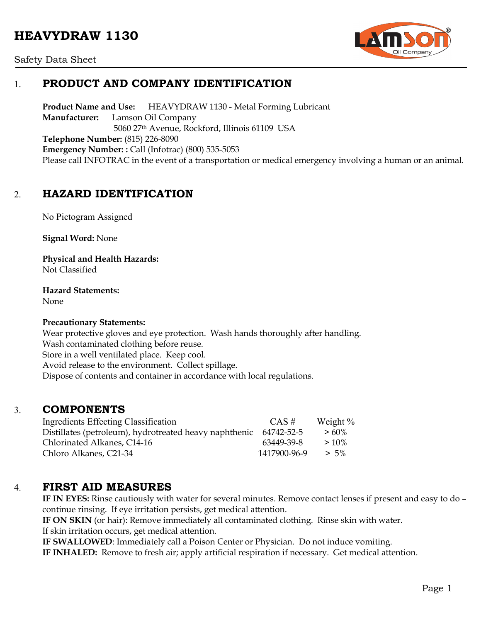# **HEAVYDRAW 1130**



#### Safety Data Sheet

## 1. **PRODUCT AND COMPANY IDENTIFICATION**

**Product Name and Use:** HEAVYDRAW 1130 - Metal Forming Lubricant **Manufacturer:** Lamson Oil Company 5060 27th Avenue, Rockford, Illinois 61109 USA **Telephone Number:** (815) 226-8090 **Emergency Number: :** Call (Infotrac) (800) 535-5053 Please call INFOTRAC in the event of a transportation or medical emergency involving a human or an animal.

## 2. **HAZARD IDENTIFICATION**

No Pictogram Assigned

**Signal Word:** None

**Physical and Health Hazards:** Not Classified

**Hazard Statements:**  None

#### **Precautionary Statements:**

Wear protective gloves and eye protection. Wash hands thoroughly after handling. Wash contaminated clothing before reuse. Store in a well ventilated place. Keep cool. Avoid release to the environment. Collect spillage. Dispose of contents and container in accordance with local regulations.

### 3. **COMPONENTS**

| Ingredients Effecting Classification                   | $CAS \#$     | Weight % |
|--------------------------------------------------------|--------------|----------|
| Distillates (petroleum), hydrotreated heavy naphthenic | 64742-52-5   | $>60\%$  |
| Chlorinated Alkanes, C14-16                            | 63449-39-8   | $>10\%$  |
| Chloro Alkanes, C21-34                                 | 1417900-96-9 | $> 5\%$  |

### 4. **FIRST AID MEASURES**

**IF IN EYES:** Rinse cautiously with water for several minutes. Remove contact lenses if present and easy to do – continue rinsing. If eye irritation persists, get medical attention.

**IF ON SKIN** (or hair): Remove immediately all contaminated clothing. Rinse skin with water. If skin irritation occurs, get medical attention.

**IF SWALLOWED**: Immediately call a Poison Center or Physician. Do not induce vomiting.

**IF INHALED:** Remove to fresh air; apply artificial respiration if necessary. Get medical attention.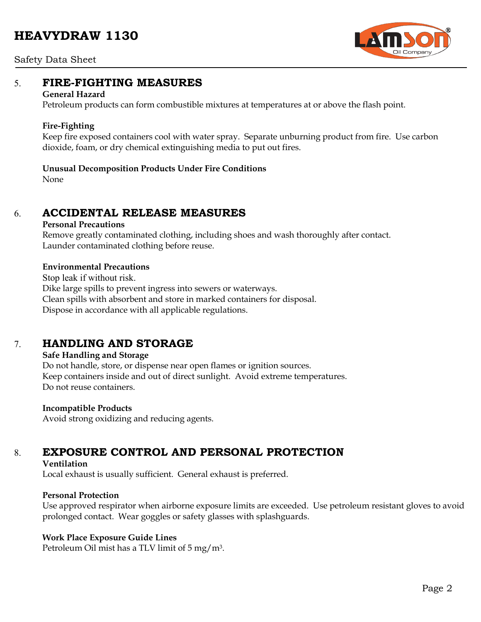# **HEAVYDRAW 1130**



#### Safety Data Sheet

## 5. **FIRE-FIGHTING MEASURES**

#### **General Hazard**

Petroleum products can form combustible mixtures at temperatures at or above the flash point.

#### **Fire-Fighting**

Keep fire exposed containers cool with water spray. Separate unburning product from fire. Use carbon dioxide, foam, or dry chemical extinguishing media to put out fires.

#### **Unusual Decomposition Products Under Fire Conditions**

None

## 6. **ACCIDENTAL RELEASE MEASURES**

#### **Personal Precautions**

Remove greatly contaminated clothing, including shoes and wash thoroughly after contact. Launder contaminated clothing before reuse.

#### **Environmental Precautions**

Stop leak if without risk. Dike large spills to prevent ingress into sewers or waterways. Clean spills with absorbent and store in marked containers for disposal. Dispose in accordance with all applicable regulations.

## 7. **HANDLING AND STORAGE**

#### **Safe Handling and Storage**

Do not handle, store, or dispense near open flames or ignition sources. Keep containers inside and out of direct sunlight. Avoid extreme temperatures. Do not reuse containers.

#### **Incompatible Products**

Avoid strong oxidizing and reducing agents.

# 8. **EXPOSURE CONTROL AND PERSONAL PROTECTION**

#### **Ventilation**

Local exhaust is usually sufficient. General exhaust is preferred.

#### **Personal Protection**

Use approved respirator when airborne exposure limits are exceeded. Use petroleum resistant gloves to avoid prolonged contact. Wear goggles or safety glasses with splashguards.

#### **Work Place Exposure Guide Lines**

Petroleum Oil mist has a TLV limit of 5 mg/m3.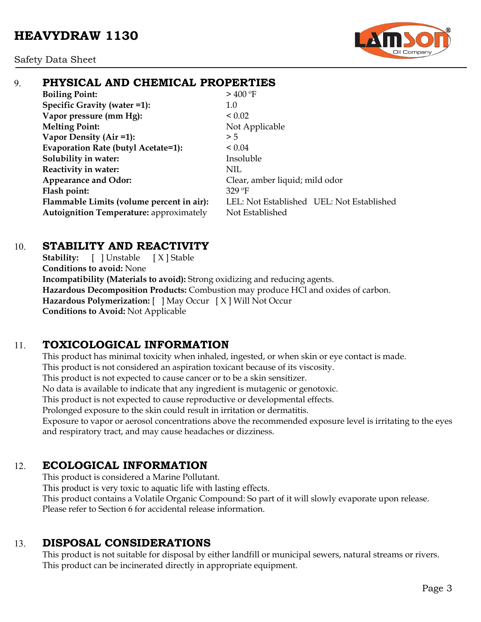

# 9. **PHYSICAL AND CHEMICAL PROPERTIES**

**Boiling Point:**  $> 400^{\circ}$ F **Specific Gravity (water =1):** 1.0 **Vapor pressure (mm Hg):**  $< 0.02$ **Melting Point:** Not Applicable **Vapor Density (Air =1):**  $>5$ **Evaporation Rate (butyl Acetate=1):** < 0.04 **Solubility in water:** Insoluble **Reactivity in water:** NIL Appearance and Odor: Clear, amber liquid; mild odor **Flash point:** 329 ºF Autoignition Temperature: approximately Not Established

**Flammable Limits (volume percent in air):** LEL: Not Established UEL: Not Established

# 10. **STABILITY AND REACTIVITY**

**Stability:** [ ] Unstable [ X ] Stable **Conditions to avoid:** None **Incompatibility (Materials to avoid):** Strong oxidizing and reducing agents. **Hazardous Decomposition Products:** Combustion may produce HCl and oxides of carbon. **Hazardous Polymerization:** [ ] May Occur [ X ] Will Not Occur **Conditions to Avoid:** Not Applicable

# 11. **TOXICOLOGICAL INFORMATION**

This product has minimal toxicity when inhaled, ingested, or when skin or eye contact is made. This product is not considered an aspiration toxicant because of its viscosity. This product is not expected to cause cancer or to be a skin sensitizer. No data is available to indicate that any ingredient is mutagenic or genotoxic. This product is not expected to cause reproductive or developmental effects. Prolonged exposure to the skin could result in irritation or dermatitis. Exposure to vapor or aerosol concentrations above the recommended exposure level is irritating to the eyes

and respiratory tract, and may cause headaches or dizziness.

# 12. **ECOLOGICAL INFORMATION**

This product is considered a Marine Pollutant. This product is very toxic to aquatic life with lasting effects. This product contains a Volatile Organic Compound: So part of it will slowly evaporate upon release. Please refer to Section 6 for accidental release information.

# 13. **DISPOSAL CONSIDERATIONS**

This product is not suitable for disposal by either landfill or municipal sewers, natural streams or rivers. This product can be incinerated directly in appropriate equipment.